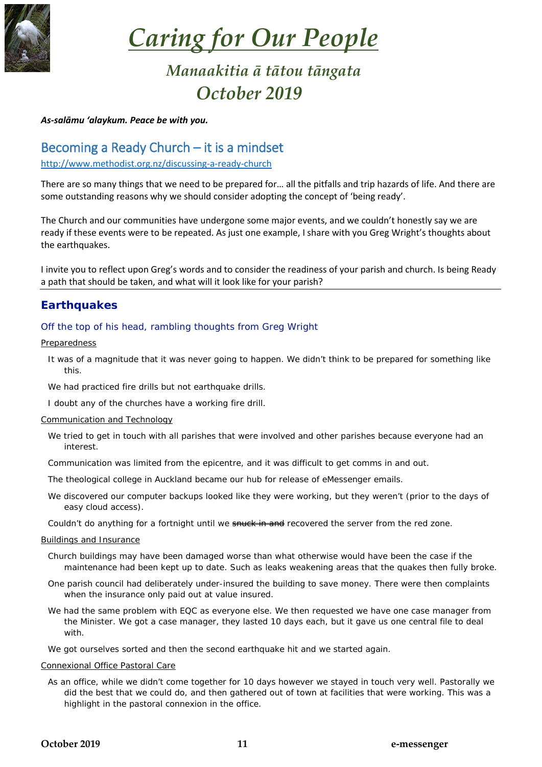

# *Caring for Our People*

# *Manaakitia ā tātou tāngata October 2019*

#### *As-salāmu 'alaykum. Peace be with you.*

# Becoming a Ready Church – it is a mindset

<http://www.methodist.org.nz/discussing-a-ready-church>

There are so many things that we need to be prepared for… all the pitfalls and trip hazards of life. And there are some outstanding reasons why we should consider adopting the concept of 'being ready'.

The Church and our communities have undergone some major events, and we couldn't honestly say we are ready if these events were to be repeated. As just one example, I share with you Greg Wright's thoughts about the earthquakes.

I invite you to reflect upon Greg's words and to consider the readiness of your parish and church. Is being Ready a path that should be taken, and what will it look like for your parish?

# **Earthquakes**

## Off the top of his head, rambling thoughts from Greg Wright

#### **Preparedness**

- It was of a magnitude that it was never going to happen. We didn't think to be prepared for something like this.
- We had practiced fire drills but not earthquake drills.
- I doubt any of the churches have a working fire drill.

#### Communication and Technology

- We tried to get in touch with all parishes that were involved and other parishes because everyone had an interest.
- Communication was limited from the epicentre, and it was difficult to get comms in and out.
- The theological college in Auckland became our hub for release of eMessenger emails.
- We discovered our computer backups looked like they were working, but they weren't (prior to the days of easy cloud access).
- Couldn't do anything for a fortnight until we snuck in and recovered the server from the red zone.

#### Buildings and Insurance

- Church buildings may have been damaged worse than what otherwise would have been the case if the maintenance had been kept up to date. Such as leaks weakening areas that the quakes then fully broke.
- One parish council had deliberately under-insured the building to save money. There were then complaints when the insurance only paid out at value insured.
- We had the same problem with EQC as everyone else. We then requested we have one case manager from the Minister. We got a case manager, they lasted 10 days each, but it gave us one central file to deal with.

We got ourselves sorted and then the second earthquake hit and we started again.

#### Connexional Office Pastoral Care

As an office, while we didn't come together for 10 days however we stayed in touch very well. Pastorally we did the best that we could do, and then gathered out of town at facilities that were working. This was a highlight in the pastoral connexion in the office.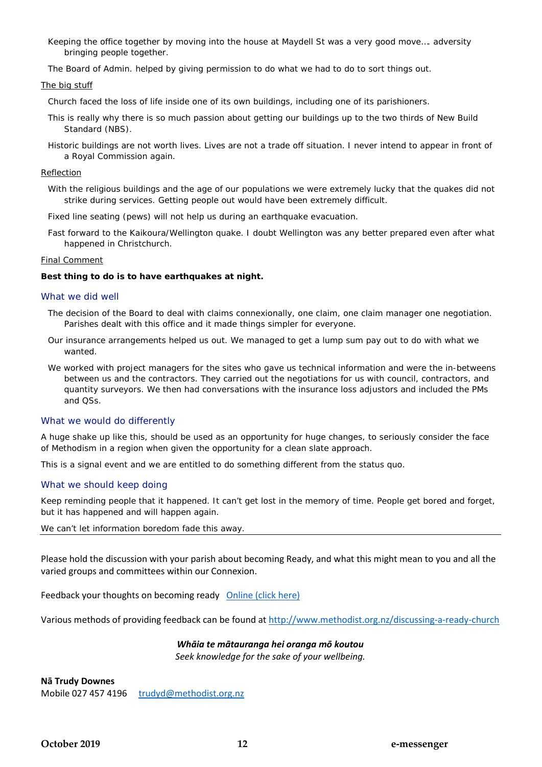Keeping the office together by moving into the house at Maydell St was a very good move…. adversity bringing people together.

The Board of Admin. helped by giving permission to do what we had to do to sort things out.

#### The big stuff

Church faced the loss of life inside one of its own buildings, including one of its parishioners.

- This is really why there is so much passion about getting our buildings up to the two thirds of New Build Standard (NBS).
- Historic buildings are not worth lives. Lives are not a trade off situation. I never intend to appear in front of a Royal Commission again.

#### Reflection

- With the religious buildings and the age of our populations we were extremely lucky that the quakes did not strike during services. Getting people out would have been extremely difficult.
- Fixed line seating (pews) will not help us during an earthquake evacuation.
- Fast forward to the Kaikoura/Wellington quake. I doubt Wellington was any better prepared even after what happened in Christchurch.

#### Final Comment

#### **Best thing to do is to have earthquakes at night.**

#### What we did well

- The decision of the Board to deal with claims connexionally, one claim, one claim manager one negotiation. Parishes dealt with this office and it made things simpler for everyone.
- Our insurance arrangements helped us out. We managed to get a lump sum pay out to do with what we wanted.
- We worked with project managers for the sites who gave us technical information and were the in-betweens between us and the contractors. They carried out the negotiations for us with council, contractors, and quantity surveyors. We then had conversations with the insurance loss adjustors and included the PMs and QSs.

#### What we would do differently

A huge shake up like this, should be used as an opportunity for huge changes, to seriously consider the face of Methodism in a region when given the opportunity for a clean slate approach.

This is a signal event and we are entitled to do something different from the status quo.

#### What we should keep doing

Keep reminding people that it happened. It can't get lost in the memory of time. People get bored and forget, but it has happened and will happen again.

We can't let information boredom fade this away.

Please hold the discussion with your parish about becoming Ready, and what this might mean to you and all the varied groups and committees within our Connexion.

Feedback your thoughts on becoming ready [Online \(click here\)](http://www.methodist.org.nz/discussing-a-ready-church/ready_church_discussion_feedback)

Various methods of providing feedback can be found at<http://www.methodist.org.nz/discussing-a-ready-church>

#### *Whāia te mātauranga hei oranga mō koutou*

*Seek knowledge for the sake of your wellbeing.*

**Nā Trudy Downes**

Mobile 027 457 4196 [trudyd@methodist.org.nz](mailto:trudyd@methodist.org.nz)